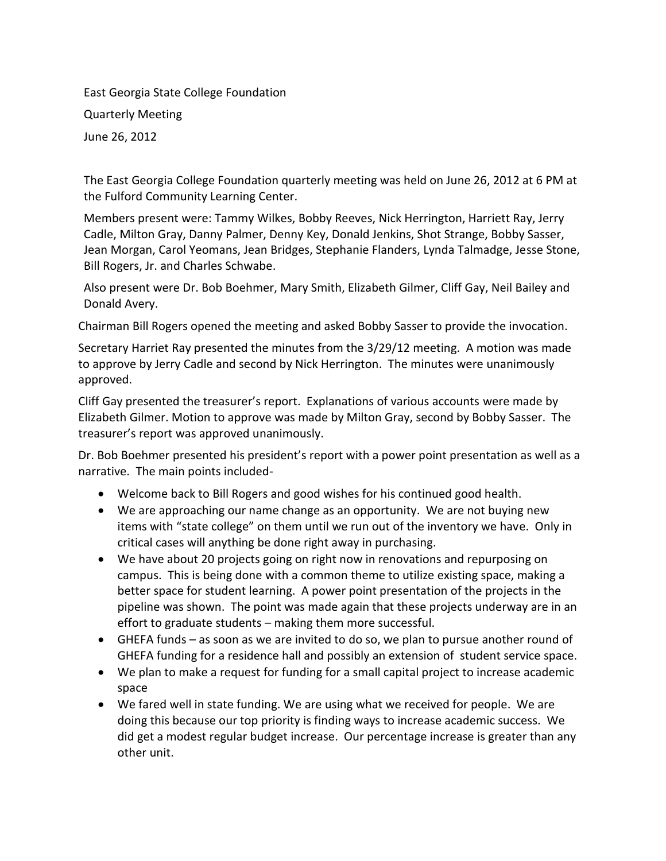East Georgia State College Foundation Quarterly Meeting June 26, 2012

The East Georgia College Foundation quarterly meeting was held on June 26, 2012 at 6 PM at the Fulford Community Learning Center.

Members present were: Tammy Wilkes, Bobby Reeves, Nick Herrington, Harriett Ray, Jerry Cadle, Milton Gray, Danny Palmer, Denny Key, Donald Jenkins, Shot Strange, Bobby Sasser, Jean Morgan, Carol Yeomans, Jean Bridges, Stephanie Flanders, Lynda Talmadge, Jesse Stone, Bill Rogers, Jr. and Charles Schwabe.

Also present were Dr. Bob Boehmer, Mary Smith, Elizabeth Gilmer, Cliff Gay, Neil Bailey and Donald Avery.

Chairman Bill Rogers opened the meeting and asked Bobby Sasser to provide the invocation.

Secretary Harriet Ray presented the minutes from the 3/29/12 meeting. A motion was made to approve by Jerry Cadle and second by Nick Herrington. The minutes were unanimously approved.

Cliff Gay presented the treasurer's report. Explanations of various accounts were made by Elizabeth Gilmer. Motion to approve was made by Milton Gray, second by Bobby Sasser. The treasurer's report was approved unanimously.

Dr. Bob Boehmer presented his president's report with a power point presentation as well as a narrative. The main points included-

- Welcome back to Bill Rogers and good wishes for his continued good health.
- We are approaching our name change as an opportunity. We are not buying new items with "state college" on them until we run out of the inventory we have. Only in critical cases will anything be done right away in purchasing.
- We have about 20 projects going on right now in renovations and repurposing on campus. This is being done with a common theme to utilize existing space, making a better space for student learning. A power point presentation of the projects in the pipeline was shown. The point was made again that these projects underway are in an effort to graduate students – making them more successful.
- GHEFA funds as soon as we are invited to do so, we plan to pursue another round of GHEFA funding for a residence hall and possibly an extension of student service space.
- We plan to make a request for funding for a small capital project to increase academic space
- We fared well in state funding. We are using what we received for people. We are doing this because our top priority is finding ways to increase academic success. We did get a modest regular budget increase. Our percentage increase is greater than any other unit.